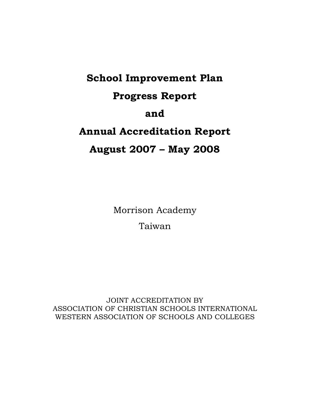# **School Improvement Plan Progress Report and Annual Accreditation Report August 2007 – May 2008**

Morrison Academy Taiwan

JOINT ACCREDITATION BY ASSOCIATION OF CHRISTIAN SCHOOLS INTERNATIONAL WESTERN ASSOCIATION OF SCHOOLS AND COLLEGES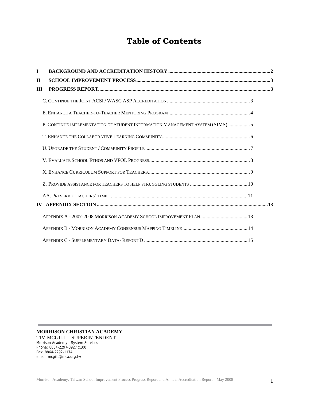# **Table of Contents**

| $\mathbf{I}$  |                                                                              |  |
|---------------|------------------------------------------------------------------------------|--|
| $\mathbf H$   |                                                                              |  |
| Ш             |                                                                              |  |
|               |                                                                              |  |
|               |                                                                              |  |
|               | P. CONTINUE IMPLEMENTATION OF STUDENT INFORMATION MANAGEMENT SYSTEM (SIMS) 5 |  |
|               |                                                                              |  |
|               |                                                                              |  |
|               |                                                                              |  |
|               |                                                                              |  |
|               |                                                                              |  |
|               |                                                                              |  |
| $\mathbf{IV}$ |                                                                              |  |
|               |                                                                              |  |
|               |                                                                              |  |
|               |                                                                              |  |

**MORRISON CHRISTIAN ACADEMY**  TIM MCGILL – SUPERINTENDENT

Morrison Academy - System Services Phone: 8864-2297-3927 x100 Fax: 8864-2292-1174 email: mcgillt@mca.org.tw

÷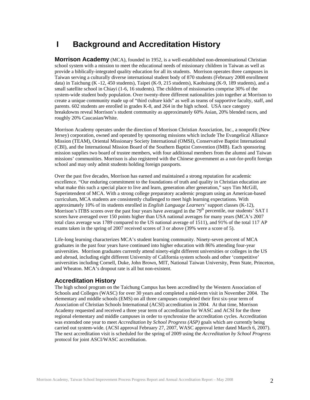# <span id="page-2-0"></span>**I Background and Accreditation History**

**Morrison Academy** (MCA), founded in 1952, is a well-established non-denominational Christian school system with a mission to meet the educational needs of missionary children in Taiwan as well as provide a biblically-integrated quality education for all its students. Morrison operates three campuses in Taiwan serving a culturally diverse international student body of 870 students (February 2008 enrollment data) in Taichung (K -12, 450 students), Taipei (K-9, 215 students), Kaohsiung (K-9, 189 students), and a small satellite school in Chiayi (1-6, 16 students). The children of missionaries comprise 30% of the system-wide student body population. Over twenty-three different nationalities join together at Morrison to create a unique community made up of "third culture kids" as well as teams of supportive faculty, staff, and parents. 602 students are enrolled in grades K-8, and 264 in the high school. USA race category breakdowns reveal Morrison's student community as approximately 60% Asian, 20% blended races, and roughly 20% Caucasian/White.

Morrison Academy operates under the direction of Morrison Christian Association, Inc., a nonprofit (New Jersey) corporation, owned and operated by sponsoring missions which include The Evangelical Alliance Mission (TEAM), Oriental Missionary Society International (OMSI), Conservative Baptist International (CBI), and the International Mission Board of the Southern Baptist Convention (IMB). Each sponsoring mission supplies two board of trustee members, with four additional members from the alumni and Taiwan missions' communities. Morrison is also registered with the Chinese government as a not-for-profit foreign school and may only admit students holding foreign passports.

Over the past five decades, Morrison has earned and maintained a strong reputation for academic excellence. "Our enduring commitment to the foundations of truth and quality in Christian education are what make this such a special place to live and learn, generation after generation," says Tim McGill, Superintendent of MCA. With a strong college preparatory academic program using an American-based curriculum, MCA students are consistently challenged to meet high learning expectations. With approximately 10% of its students enrolled in *English Language Learners'* support classes (K-12), Morrison's ITBS scores over the past four years have averaged in the 79<sup>th</sup> percentile, our students' SAT I scores have averaged over 150 points higher than USA national averages for many years (MCA's 2007 total class average was 1789 compared to the US national average of 1511), and 91% of the total 117 AP exams taken in the spring of 2007 received scores of 3 or above (39% were a score of 5).

Life-long learning characterizes MCA's student learning community. Ninety-seven percent of MCA graduates in the past four years have continued into higher education with 86% attending four-year universities. Morrison graduates currently attend ninety-eight different universities or colleges in the US and abroad, including eight different University of California system schools and other 'competitive' universities including Cornell, Duke, John Brown, MIT, National Taiwan University, Penn State, Princeton, and Wheaton. MCA's dropout rate is all but non-existent.

# **Accreditation History**

The high school program on the Taichung Campus has been accredited by the Western Association of Schools and Colleges (WASC) for over 30 years and completed a mid-term visit in November 2004. The elementary and middle schools (EMS) on all three campuses completed their first six-year term of Association of Christian Schools International (ACSI) accreditation in 2004. At that time, Morrison Academy requested and received a three year term of accreditation for WASC and ACSI for the three regional elementary and middle campuses in order to synchronize the accreditation cycles. Accreditation was extended one year to meet *Accreditation by School Progress (ASP)* goals which are currently being carried out system-wide. (ACSI approval February 27, 2007, WASC approval letter dated March 6, 2007). The next accreditation visit is scheduled for the spring of 2009 using the *Accreditation by School Progress*  protocol for joint ASCI/WASC accreditation.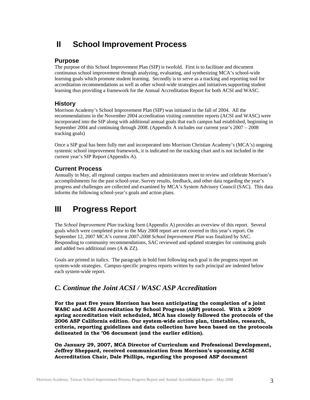# <span id="page-3-0"></span>**II School Improvement Process**

### **Purpose**

The purpose of this School Improvement Plan (SIP) is twofold. First is to facilitate and document continuous school improvement through analyzing, evaluating, and synthesizing MCA's school-wide learning goals which promote student learning. Secondly is to serve as a tracking and reporting tool for accreditation recommendations as well as other school-wide strategies and initiatives supporting student learning thus providing a framework for the Annual Accreditation Report for both ACSI and WASC.

# **History**

Morrison Academy's School Improvement Plan (SIP) was initiated in the fall of 2004. All the recommendations in the November 2004 accreditation visiting committee reports (ACSI and WASC) were incorporated into the SIP along with additional annual goals that each campus had established, beginning in September 2004 and continuing through 2008. (Appendix A includes our current year's 2007 – 2008 tracking goals)

Once a SIP goal has been fully met and incorporated into Morrison Christian Academy's (MCA's) ongoing systemic school improvement framework, it is indicated on the tracking chart and is not included in the current year's SIP Report (Appendix A).

# **Current Process**

Annually in May, all regional campus teachers and administrators meet to review and celebrate Morrison's accomplishments for the past school-year. Survey results, feedback, and other data regarding the year's progress and challenges are collected and examined by MCA's System Advisory Council (SAC). This data informs the following school-year's goals and action plans.

# **III Progress Report**

The *School Improvement Plan* tracking form (Appendix A) provides an overview of this report. Several goals which were completed prior to the May 2008 report are not covered in this year's report. On September 12, 2007 MCA's current *2007-2008 School Improvement Plan* was finalized by SAC. Responding to community recommendations, SAC reviewed and updated strategies for continuing goals and added two additional ones (A & ZZ).

Goals are printed in italics. The paragraph in bold font following each goal is the progress report on system-wide strategies. Campus-specific progress reports written by each principal are indented below each system-wide report.

# *C. Continue the Joint ACSI / WASC ASP Accreditation*

**For the past five years Morrison has been anticipating the completion of a joint WASC and ACSI Accreditation by School Progress (ASP) protocol. With a 2009 spring accreditation visit scheduled, MCA has closely followed the protocols of the 2006 ASP California edition. Our system-wide action plan, timetables, research, criteria, reporting guidelines and data collection have been based on the protocols delineated in the '06 document (and the earlier edition).** 

**On January 29, 2007, MCA Director of Curriculum and Professional Development, Jeffrey Sheppard, received communication from Morrison's upcoming ACSI Accreditation Chair, Dale Phillips, regarding the proposed ASP document**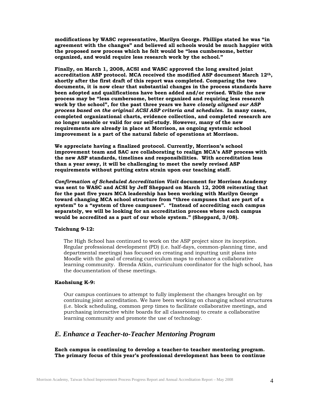<span id="page-4-0"></span>**modifications by WASC representative, Marilyn George. Phillips stated he was "in agreement with the changes" and believed all schools would be much happier with the proposed new process which he felt would be "less cumbersome, better organized, and would require less research work by the school."** 

**Finally, on March 1, 2008, ACSI and WASC approved the long awaited joint accreditation ASP protocol. MCA received the modified ASP document March 12th, shortly after the first draft of this report was completed. Comparing the two documents, it is now clear that substantial changes in the process standards have been adopted and qualifications have been added and/or revised. While the new process may be "less cumbersome, better organized and requiring less research work by the school", for the past three years we have** *closely aligned our ASP process based on the original ACSI ASP criteria and schedules.* **In many cases, completed organizational charts, evidence collection, and completed research are no longer useable or valid for our self-study. However, many of the new requirements are already in place at Morrison, as ongoing systemic school improvement is a part of the natural fabric of operations at Morrison.** 

**We appreciate having a finalized protocol. Currently, Morrison's school improvement team and SAC are collaborating to realign MCA's ASP process with the new ASP standards, timelines and responsibilities. With accreditation less than a year away, it will be challenging to meet the newly revised ASP requirements without putting extra strain upon our teaching staff.** 

*Confirmation of Scheduled Accreditation Visit* **document for Morrison Academy was sent to WASC and ACSI by Jeff Sheppard on March 12, 2008 reiterating that for the past five years MCA leadership has been working with Marilyn George toward changing MCA school structure from "three campuses that are part of a system" to a "system of three campuses". "Instead of accrediting each campus separately, we will be looking for an accreditation process where each campus would be accredited as a part of our whole system." (Sheppard, 3/08).** 

#### **Taichung 9-12:**

The High School has continued to work on the ASP project since its inception. Regular professional development (PD) (i.e. half-days, common-planning time, and departmental meetings) has focused on creating and inputting unit plans into Moodle with the goal of creating curriculum maps to enhance a collaborative learning community. Brenda Atkin, curriculum coordinator for the high school, has the documentation of these meetings.

#### **Kaohsiung K-9:**

Our campus continues to attempt to fully implement the changes brought on by continuing joint accreditation. We have been working on changing school structures (i.e. block scheduling, common prep times to facilitate collaborative meetings, and purchasing interactive white boards for all classrooms) to create a collaborative learning community and promote the use of technology.

# *E. Enhance a Teacher-to-Teacher Mentoring Program*

**Each campus is continuing to develop a teacher-to teacher mentoring program. The primary focus of this year's professional development has been to continue**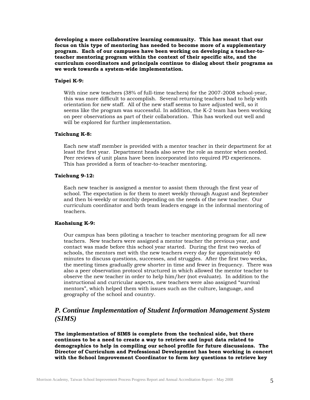<span id="page-5-0"></span>**developing a more collaborative learning community. This has meant that our focus on this type of mentoring has needed to become more of a supplementary program. Each of our campuses have been working on developing a teacher-toteacher mentoring program within the context of their specific site, and the curriculum coordinators and principals continue to dialog about their programs as we work towards a system-wide implementation.** 

#### **Taipei K-9:**

With nine new teachers (38% of full-time teachers) for the 2007-2008 school-year, this was more difficult to accomplish. Several returning teachers had to help with orientation for new staff. All of the new staff seems to have adjusted well, so it seems like the program was successful. In addition, the K-2 team has been working on peer observations as part of their collaboration. This has worked out well and will be explored for further implementation.

#### **Taichung K-8:**

Each new staff member is provided with a mentor teacher in their department for at least the first year. Department heads also serve the role as mentor when needed. Peer reviews of unit plans have been incorporated into required PD experiences. This has provided a form of teacher-to-teacher mentoring.

#### **Taichung 9-12:**

Each new teacher is assigned a mentor to assist them through the first year of school. The expectation is for them to meet weekly through August and September and then bi-weekly or monthly depending on the needs of the new teacher. Our curriculum coordinator and both team leaders engage in the informal mentoring of teachers.

#### **Kaohsiung K-9:**

Our campus has been piloting a teacher to teacher mentoring program for all new teachers. New teachers were assigned a mentor teacher the previous year, and contact was made before this school year started. During the first two weeks of schools, the mentors met with the new teachers every day for approximately 40 minutes to discuss questions, successes, and struggles. After the first two weeks, the meeting times gradually grew shorter in time and fewer in frequency. There was also a peer observation protocol structured in which allowed the mentor teacher to observe the new teacher in order to help him/her (not evaluate). In addition to the instructional and curricular aspects, new teachers were also assigned "survival mentors", which helped them with issues such as the culture, language, and geography of the school and country.

# *P. Continue Implementation of Student Information Management System (SIMS)*

**The implementation of SIMS is complete from the technical side, but there continues to be a need to create a way to retrieve and input data related to demographics to help in compiling our school profile for future discussions. The Director of Curriculum and Professional Development has been working in concert with the School Improvement Coordinator to form key questions to retrieve key**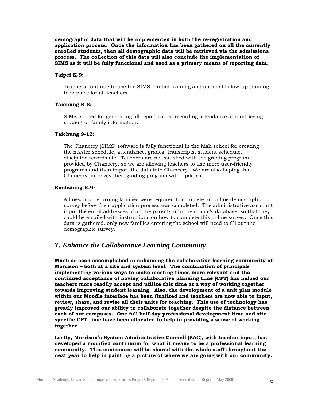<span id="page-6-0"></span>**demographic data that will be implemented in both the re-registration and application process. Once the information has been gathered on all the currently enrolled students, then all demographic data will be retrieved via the admissions process. The collection of this data will also conclude the implementation of SIMS as it will be fully functional and used as a primary means of reporting data.** 

#### **Taipei K-9:**

Teachers continue to use the SIMS. Initial training and optional follow-up training took place for all teachers.

#### **Taichung K-8:**

SIMS is used for generating all report cards, recording attendance and retrieving student or family information.

#### **Taichung 9-12:**

The Chancery (SIMS) software is fully functional in the high school for creating the master schedule, attendance, grades, transcripts, student schedule, discipline records etc. Teachers are not satisfied with the grading program provided by Chancery, so we are allowing teachers to use more user-friendly programs and then import the data into Chancery. We are also hoping that Chancery improves their grading program with updates.

#### **Kaohsiung K-9:**

All new and returning families were required to complete an online demographic survey before their application process was completed. The administrative assistant input the email addresses of all the parents into the school's database, so that they could be emailed with instructions on how to complete this online survey. Once this data is gathered, only new families entering the school will need to fill out the demographic survey.

# *T. Enhance the Collaborative Learning Community*

**Much as been accomplished in enhancing the collaborative learning community at Morrison – both at a site and system level. The combination of principals implementing various ways to make meeting times more relevant and the continued acceptance of having collaborative planning time (CPT) has helped our teachers more readily accept and utilize this time as a way of working together towards improving student learning. Also, the development of a unit plan module within our Moodle interface has been finalized and teachers are now able to input, review, share, and revise all their units for teaching. This use of technology has greatly improved our ability to collaborate together despite the distance between each of our campuses. One full half-day professional development time and site specific CPT time have been allocated to help in providing a sense of working together.** 

**Lastly, Morrison's System Administrative Council (SAC), with teacher input, has developed a modified continuum for what it means to be a professional learning community. This continuum will be shared with the whole staff throughout the next year to help in painting a picture of where we are going with our community.**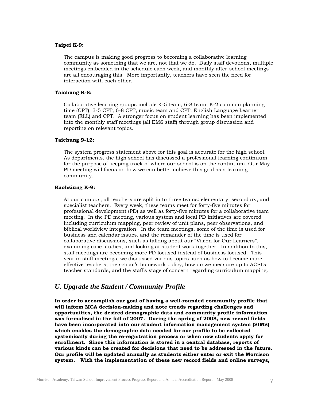#### <span id="page-7-0"></span>**Taipei K-9:**

The campus is making good progress to becoming a collaborative learning community as something that we are, not that we do. Daily staff devotions, multiple meetings embedded in the schedule each week, and monthly after-school meetings are all encouraging this. More importantly, teachers have seen the need for interaction with each other.

#### **Taichung K-8:**

Collaborative learning groups include K-5 team, 6-8 team, K-2 common planning time (CPT), 3-5 CPT, 6-8 CPT, music team and CPT, English Language Learner team (ELL) and CPT. A stronger focus on student learning has been implemented into the monthly staff meetings (all EMS staff) through group discussion and reporting on relevant topics.

#### **Taichung 9-12:**

The system progress statement above for this goal is accurate for the high school. As departments, the high school has discussed a professional learning continuum for the purpose of keeping track of where our school is on the continuum. Our May PD meeting will focus on how we can better achieve this goal as a learning community.

#### **Kaohsiung K-9:**

At our campus, all teachers are split in to three teams: elementary, secondary, and specialist teachers. Every week, these teams meet for forty-five minutes for professional development (PD) as well as forty-five minutes for a collaborative team meeting. In the PD meeting, various system and local PD initiatives are covered including curriculum mapping, peer review of unit plans, peer observations, and biblical worldview integration. In the team meetings, some of the time is used for business and calendar issues, and the remainder of the time is used for collaborative discussions, such as talking about our "Vision for Our Learners", examining case studies, and looking at student work together. In addition to this, staff meetings are becoming more PD focused instead of business focused. This year in staff meetings, we discussed various topics such as how to become more effective teachers, the school's homework policy, how do we measure up to ACSI's teacher standards, and the staff's stage of concern regarding curriculum mapping.

## *U. Upgrade the Student / Community Profile*

**In order to accomplish our goal of having a well-rounded community profile that will inform MCA decision-making and note trends regarding challenges and opportunities, the desired demographic data and community profile information was formalized in the fall of 2007. During the spring of 2008, new record fields have been incorporated into our student information management system (SIMS) which enables the demographic data needed for our profile to be collected systemically during the re-registration process or when new students apply for enrollment. Since this information is stored in a central database, reports of various kinds can be created for decisions that need to be addressed in the future. Our profile will be updated annually as students either enter or exit the Morrison system. With the implementation of these new record fields and online surveys,**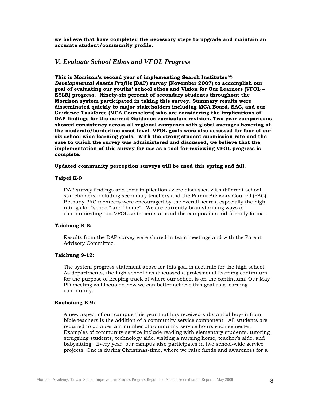<span id="page-8-0"></span>**we believe that have completed the necessary steps to upgrade and maintain an accurate student/community profile.** 

### *V. Evaluate School Ethos and VFOL Progress*

**This is Morrison's second year of implementing Search Institutes'©**  *Developmental Assets Profile* **(DAP) survey (November 2007) to accomplish our goal of evaluating our youths' school ethos and Vision for Our Learners (VFOL – ESLR) progress. Ninety-six percent of secondary students throughout the Morrison system participated in taking this survey. Summary results were disseminated quickly to major stakeholders including MCA Board, SAC, and our Guidance Taskforce (MCA Counselors) who are considering the implications of DAP findings for the current Guidance curriculum revision. Two year comparisons showed consistency across all regional campuses with global averages hovering at the moderate/borderline asset level. VFOL goals were also assessed for four of our six school-wide learning goals. With the strong student submission rate and the ease to which the survey was administered and discussed, we believe that the implementation of this survey for use as a tool for reviewing VFOL progress is complete.** 

#### **Updated community perception surveys will be used this spring and fall.**

#### **Taipei K-9**

DAP survey findings and their implications were discussed with different school stakeholders including secondary teachers and the Parent Advisory Council (PAC). Bethany PAC members were encouraged by the overall scores, especially the high ratings for "school" and "home". We are currently brainstorming ways of communicating our VFOL statements around the campus in a kid-friendly format.

#### **Taichung K-8:**

Results from the DAP survey were shared in team meetings and with the Parent Advisory Committee.

#### **Taichung 9-12:**

 The system progress statement above for this goal is accurate for the high school. As departments, the high school has discussed a professional learning continuum for the purpose of keeping track of where our school is on the continuum. Our May PD meeting will focus on how we can better achieve this goal as a learning community.

#### **Kaohsiung K-9:**

A new aspect of our campus this year that has received substantial buy-in from bible teachers is the addition of a community service component. All students are required to do a certain number of community service hours each semester. Examples of community service include reading with elementary students, tutoring struggling students, technology aide, visiting a nursing home, teacher's aide, and babysitting. Every year, our campus also participates in two school-wide service projects. One is during Christmas-time, where we raise funds and awareness for a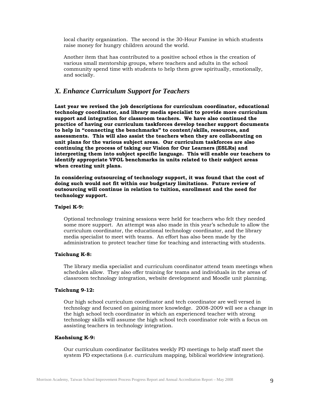<span id="page-9-0"></span>local charity organization. The second is the 30-Hour Famine in which students raise money for hungry children around the world.

Another item that has contributed to a positive school ethos is the creation of various small mentorship groups, where teachers and adults in the school community spend time with students to help them grow spiritually, emotionally, and socially.

# *X. Enhance Curriculum Support for Teachers*

**Last year we revised the job descriptions for curriculum coordinator, educational technology coordinator, and library media specialist to provide more curriculum support and integration for classroom teachers. We have also continued the practice of having our curriculum taskforces develop teacher support documents to help in "connecting the benchmarks" to content/skills, resources, and assessments. This will also assist the teachers when they are collaborating on unit plans for the various subject areas. Our curriculum taskforces are also continuing the process of taking our Vision for Our Learners (ESLRs) and interpreting them into subject specific language. This will enable our teachers to identify appropriate VFOL benchmarks in units related to their subject areas when creating unit plans.** 

**In considering outsourcing of technology support, it was found that the cost of doing such would not fit within our budgetary limitations. Future review of outsourcing will continue in relation to tuition, enrollment and the need for technology support.** 

#### **Taipei K-9:**

Optional technology training sessions were held for teachers who felt they needed some more support. An attempt was also made in this year's schedule to allow the curriculum coordinator, the educational technology coordinator, and the library media specialist to meet with teams. An effort has also been made by the administration to protect teacher time for teaching and interacting with students.

#### **Taichung K-8:**

The library media specialist and curriculum coordinator attend team meetings when schedules allow. They also offer training for teams and individuals in the areas of classroom technology integration, website development and Moodle unit planning.

#### **Taichung 9-12:**

Our high school curriculum coordinator and tech coordinator are well versed in technology and focused on gaining more knowledge. 2008-2009 will see a change in the high school tech coordinator in which an experienced teacher with strong technology skills will assume the high school tech coordinator role with a focus on assisting teachers in technology integration.

#### **Kaohsiung K-9:**

Our curriculum coordinator facilitates weekly PD meetings to help staff meet the system PD expectations (i.e. curriculum mapping, biblical worldview integration).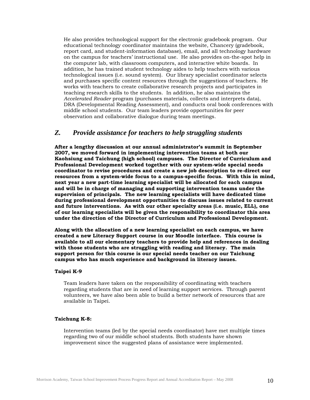<span id="page-10-0"></span>He also provides technological support for the electronic gradebook program. Our educational technology coordinator maintains the website, Chancery (gradebook, report card, and student-information database), email, and all technology hardware on the campus for teachers' instructional use. He also provides on-the-spot help in the computer lab, with classroom computers, and interactive white boards. In addition, he has trained student technology aides to help teachers with various technological issues (i.e. sound system). Our library specialist coordinator selects and purchases specific content resources through the suggestions of teachers. He works with teachers to create collaborative research projects and participates in teaching research skills to the students. In addition, he also maintains the *Accelerated Reader* program (purchases materials, collects and interprets data), DRA (Developmental Reading Assessment), and conducts oral book conferences with middle school students. Our team leaders provide opportunities for peer observation and collaborative dialogue during team meetings.

### *Z. Provide assistance for teachers to help struggling students*

**After a lengthy discussion at our annual administrator's summit in September 2007, we moved forward in implementing intervention teams at both our Kaohsiung and Taichung (high school) campuses. The Director of Curriculum and Professional Development worked together with our system-wide special needs coordinator to revise procedures and create a new job description to re-direct our resources from a system-wide focus to a campus-specific focus. With this in mind, next year a new part-time learning specialist will be allocated for each campus and will be in charge of managing and supporting intervention teams under the supervision of principals. The new learning specialists will have dedicated time during professional development opportunities to discuss issues related to current and future interventions. As with our other specialty areas (i.e. music, ELL), one of our learning specialists will be given the responsibility to coordinator this area under the direction of the Director of Curriculum and Professional Development.** 

**Along with the allocation of a new learning specialist on each campus, we have created a new Literacy Support course in our Moodle interface. This course is available to all our elementary teachers to provide help and references in dealing with those students who are struggling with reading and literacy. The main support person for this course is our special needs teacher on our Taichung campus who has much experience and background in literacy issues.** 

#### **Taipei K-9**

Team leaders have taken on the responsibility of coordinating with teachers regarding students that are in need of learning support services. Through parent volunteers, we have also been able to build a better network of resources that are available in Taipei.

#### **Taichung K-8:**

Intervention teams (led by the special needs coordinator) have met multiple times regarding two of our middle school students. Both students have shown improvement since the suggested plans of assistance were implemented.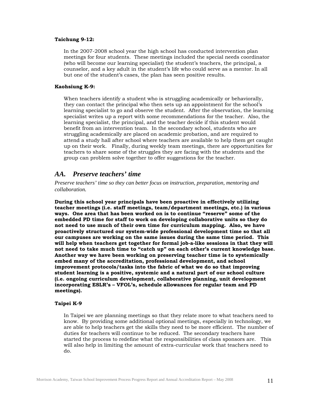#### <span id="page-11-0"></span>**Taichung 9-12:**

In the 2007-2008 school year the high school has conducted intervention plan meetings for four students. These meetings included the special needs coordinator (who will become our learning specialist) the student's teachers, the principal, a counselor, and a key adult in the student's life who could serve as a mentor. In all but one of the student's cases, the plan has seen positive results.

#### **Kaohsiung K-9:**

When teachers identify a student who is struggling academically or behaviorally, they can contact the principal who then sets up an appointment for the school's learning specialist to go and observe the student. After the observation, the learning specialist writes up a report with some recommendations for the teacher. Also, the learning specialist, the principal, and the teacher decide if this student would benefit from an intervention team. In the secondary school, students who are struggling academically are placed on academic probation, and are required to attend a study hall after school where teachers are available to help them get caught up on their work. Finally, during weekly team meetings, there are opportunities for teachers to share some of the struggles they are facing with the students and the group can problem solve together to offer suggestions for the teacher.

# *AA. Preserve teachers' time*

*Preserve teachers' time so they can better focus on instruction, preparation, mentoring and collaboration.* 

**During this school year principals have been proactive in effectively utilizing teacher meetings (i.e. staff meetings, team/department meetings, etc.) in various ways. One area that has been worked on is to continue "reserve" some of the embedded PD time for staff to work on developing collaborative units so they do not need to use much of their own time for curriculum mapping. Also, we have proactively structured our system-wide professional development time so that all our campuses are working on the same issues during the same time period. This will help when teachers get together for formal job-a-like sessions in that they will not need to take much time to "catch up" on each other's current knowledge base. Another way we have been working on preserving teacher time is to systemically embed many of the accreditation, professional development, and school improvement protocols/tasks into the fabric of what we do so that improving student learning is a positive, systemic and a natural part of our school culture (i.e. ongoing curriculum development, collaborative planning, unit development incorporating ESLR's – VFOL's, schedule allowances for regular team and PD meetings).**

#### **Taipei K-9**

In Taipei we are planning meetings so that they relate more to what teachers need to know. By providing some additional optional meetings, especially in technology, we are able to help teachers get the skills they need to be more efficient. The number of duties for teachers will continue to be reduced. The secondary teachers have started the process to redefine what the responsibilities of class sponsors are. This will also help in limiting the amount of extra-curricular work that teachers need to do.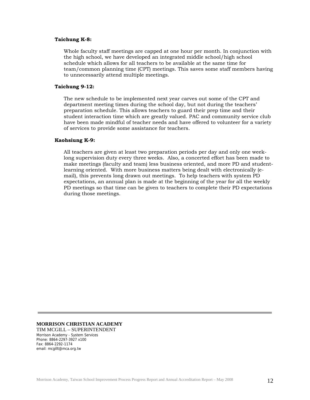#### **Taichung K-8:**

Whole faculty staff meetings are capped at one hour per month. In conjunction with the high school, we have developed an integrated middle school/high school schedule which allows for all teachers to be available at the same time for team/common planning time (CPT) meetings. This saves some staff members having to unnecessarily attend multiple meetings.

#### **Taichung 9-12:**

The new schedule to be implemented next year carves out some of the CPT and department meeting times during the school day, but not during the teachers' preparation schedule. This allows teachers to guard their prep time and their student interaction time which are greatly valued. PAC and community service club have been made mindful of teacher needs and have offered to volunteer for a variety of services to provide some assistance for teachers.

#### **Kaohsiung K-9:**

All teachers are given at least two preparation periods per day and only one weeklong supervision duty every three weeks. Also, a concerted effort has been made to make meetings (faculty and team) less business oriented, and more PD and studentlearning oriented. With more business matters being dealt with electronically (email), this prevents long drawn out meetings. To help teachers with system PD expectations, an annual plan is made at the beginning of the year for all the weekly PD meetings so that time can be given to teachers to complete their PD expectations during those meetings.

#### **MORRISON CHRISTIAN ACADEMY**  TIM MCGILL – SUPERINTENDENT Morrison Academy - System Services

Phone: 8864-2297-3927 x100 Fax: 8864-2292-1174 email: mcgillt@mca.org.tw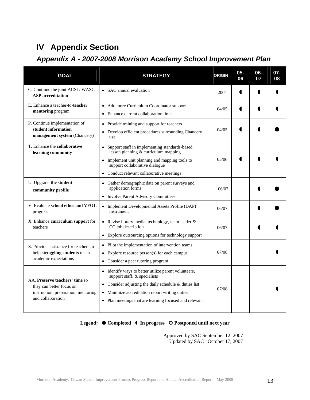# <span id="page-13-0"></span>**IV Appendix Section**

# *Appendix A - 2007-2008 Morrison Academy School Improvement Plan*

| <b>GOAL</b>                                                                                                            | <b>STRATEGY</b>                                                                                                                                                                                                                                                               |       | $05 -$<br>06 | 06-<br>07 | $07 -$<br>08 |
|------------------------------------------------------------------------------------------------------------------------|-------------------------------------------------------------------------------------------------------------------------------------------------------------------------------------------------------------------------------------------------------------------------------|-------|--------------|-----------|--------------|
| C. Continue the joint ACSI / WASC<br><b>ASP</b> accreditation                                                          | • SAC annual evaluation                                                                                                                                                                                                                                                       |       |              |           |              |
| E. Enhance a teacher-to-teacher<br>mentoring program                                                                   | • Add more Curriculum Coordinator support<br>Enhance current collaboration time<br>$\bullet$                                                                                                                                                                                  |       |              |           |              |
| P. Continue implementation of<br>student information<br>management system (Chancery)                                   | Provide training and support for teachers<br>$\bullet$<br>Develop efficient procedures surrounding Chancery<br>use                                                                                                                                                            |       |              |           |              |
| T. Enhance the collaborative<br>learning community                                                                     | Support staff in implementing standards-based<br>$\bullet$<br>lesson planning & curriculum mapping<br>Implement unit planning and mapping tools to<br>$\bullet$<br>support collaborative dialogue<br>Conduct relevant collaborative meetings<br>$\bullet$                     | 05/06 |              |           |              |
| U. Upgrade the student<br>community profile                                                                            | Gather demographic data on parent surveys and<br>$\bullet$<br>application forms<br><b>Involve Parent Advisory Committees</b><br>$\bullet$                                                                                                                                     | 06/07 |              |           |              |
| V. Evaluate school ethos and VFOL<br>progress                                                                          | • Implement Developmental Assets Profile (DAP)<br>instrument                                                                                                                                                                                                                  | 06/07 |              |           |              |
| X. Enhance curriculum support for<br>teachers                                                                          | • Revise library media, technology, team leader &<br>CC job description<br>Explore outsourcing options for technology support<br>$\bullet$                                                                                                                                    | 06/07 |              |           |              |
| Z. Provide assistance for teachers to<br>help struggling students reach<br>academic expectations                       | Pilot the implementation of intervention teams<br>$\bullet$<br>Explore resource person(s) for each campus<br>$\bullet$<br>• Consider a peer tutoring program                                                                                                                  | 07/08 |              |           |              |
| AA. Preserve teachers' time so<br>they can better focus on<br>instruction, preparation, mentoring<br>and collaboration | • Identify ways to better utilize parent volunteers,<br>support staff, & specialists<br>Consider adjusting the daily schedule & duties list<br>$\bullet$<br>Minimize accreditation report writing duties<br>$\bullet$<br>Plan meetings that are learning focused and relevant | 07/08 |              |           |              |

### Legend:  $\bullet$  Completed  $\bullet$  In progress  $\circ$  Postponed until next year

 Approved by SAC September 12, 2007 Updated by SAC October 17, 2007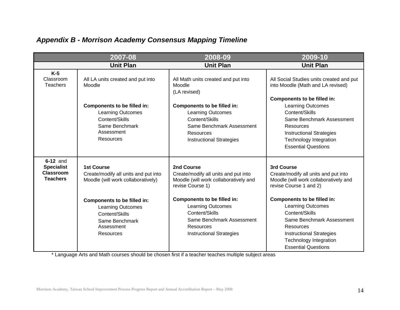| <b>Appendix B - Morrison Academy Consensus Mapping Timeline</b> |  |  |  |  |  |  |
|-----------------------------------------------------------------|--|--|--|--|--|--|
|-----------------------------------------------------------------|--|--|--|--|--|--|

| 2007-08                                                              |                                                                                                                                                                                                                                  | 2008-09                                                                                                                                                                                                                                                                   | 2009-10                                                                                                                                                                                                                                                                                                                                               |  |
|----------------------------------------------------------------------|----------------------------------------------------------------------------------------------------------------------------------------------------------------------------------------------------------------------------------|---------------------------------------------------------------------------------------------------------------------------------------------------------------------------------------------------------------------------------------------------------------------------|-------------------------------------------------------------------------------------------------------------------------------------------------------------------------------------------------------------------------------------------------------------------------------------------------------------------------------------------------------|--|
|                                                                      | <b>Unit Plan</b>                                                                                                                                                                                                                 | <b>Unit Plan</b>                                                                                                                                                                                                                                                          | <b>Unit Plan</b>                                                                                                                                                                                                                                                                                                                                      |  |
| $K-5$<br>Classroom<br><b>Teachers</b>                                | All LA units created and put into<br>Moodle                                                                                                                                                                                      | All Math units created and put into<br>Moodle<br>(LA revised)                                                                                                                                                                                                             | All Social Studies units created and put<br>into Moodle (Math and LA revised)<br>Components to be filled in:                                                                                                                                                                                                                                          |  |
|                                                                      | <b>Components to be filled in:</b><br><b>Learning Outcomes</b><br>Content/Skills<br>Same Benchmark<br>Assessment<br><b>Resources</b>                                                                                             | Components to be filled in:<br><b>Learning Outcomes</b><br>Content/Skills<br>Same Benchmark Assessment<br>Resources<br><b>Instructional Strategies</b>                                                                                                                    | Learning Outcomes<br>Content/Skills<br>Same Benchmark Assessment<br>Resources<br><b>Instructional Strategies</b><br><b>Technology Integration</b><br><b>Essential Questions</b>                                                                                                                                                                       |  |
| 6-12 and<br><b>Specialist</b><br><b>Classroom</b><br><b>Teachers</b> | <b>1st Course</b><br>Create/modify all units and put into<br>Moodle (will work collaboratively)<br><b>Components to be filled in:</b><br><b>Learning Outcomes</b><br>Content/Skills<br>Same Benchmark<br>Assessment<br>Resources | 2nd Course<br>Create/modify all units and put into<br>Moodle (will work collaboratively and<br>revise Course 1)<br>Components to be filled in:<br><b>Learning Outcomes</b><br>Content/Skills<br>Same Benchmark Assessment<br>Resources<br><b>Instructional Strategies</b> | 3rd Course<br>Create/modify all units and put into<br>Moodle (will work collaboratively and<br>revise Course 1 and 2)<br>Components to be filled in:<br><b>Learning Outcomes</b><br>Content/Skills<br>Same Benchmark Assessment<br><b>Resources</b><br><b>Instructional Strategies</b><br><b>Technology Integration</b><br><b>Essential Questions</b> |  |

<span id="page-14-0"></span>\* Language Arts and Math courses should be chosen first if a teacher teaches multiple subject areas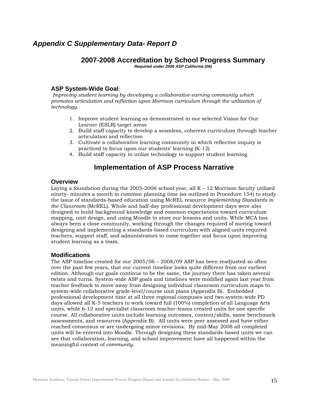# <span id="page-15-0"></span>*Appendix C Supplementary Data- Report D*

# **2007-2008 Accreditation by School Progress Summary**

*Required under 2006 ASP California (06)* 

# **ASP System-Wide Goal***:*

 *Improving student learning by developing a collaborative earning community which promotes articulation and reflection upon Morrison curriculum through the utilization of technology.* 

- 1. Improve student learning as demonstrated in our selected Vision for Our Learner (ESLR) target areas
- 2. Build staff capacity to develop a seamless, coherent curriculum through teacher articulation and reflection
- 3. Cultivate a collaborative learning community in which reflective inquiry is practiced to focus upon our students' learning (K-12)
- 4. Build staff capacity to utilize technology to support student learning.

# **Implementation of ASP Process Narrative**

### **Overview**

Laying a foundation during the  $2005-2006$  school year, all K - 12 Morrison faculty utilized ninety- minutes a month in common planning time (as outlined in Procedure 154) to study the issue of standards-based education using McREL resource *Implementing Standards in the Classroom* (McREL). Whole and half-day professional development days were also designed to build background knowledge and common expectations toward curriculum mapping, unit design, and using Moodle to store our lessons and units. While MCA has always been a close community, working through the changes required of moving toward designing and implementing a standards-based curriculum with aligned units required teachers, support staff, and administrators to come together and focus upon improving student learning as a team.

# **Modifications**

The ASP timeline created for our 2005/06 – 2008/09 ASP has been readjusted so often over the past few years, that our current timeline looks quite different from our earliest edition. Although our goals continue to be the same, the journey there has taken several twists and turns. System-wide ASP goals and timelines were modified again last year from teacher feedback to move away from designing individual classroom curriculum maps to system-wide collaborative grade-level/course unit plans (Appendix B). Embedded professional development time at all three regional campuses and two system-wide PD days allowed all K-5 teachers to work toward full (100%) completion of all Language Arts units, while 6-12 and specialist classroom teacher-teams created units for one specific course. All collaborative units include learning outcomes, content/skills, same benchmark assessments, and resources (Appendix B). All units were peer assessed and have either reached consensus or are undergoing minor revisions. By mid-May 2008 all completed units will be entered into Moodle. Through designing these standards-based units we can see that collaboration, learning, and school improvement have all happened within the meaningful context of *community.*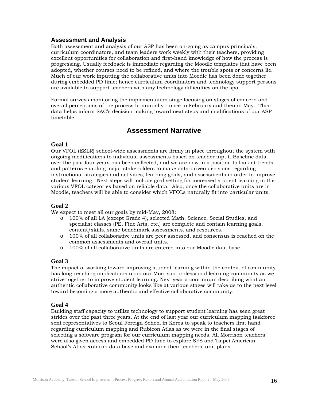### **Assessment and Analysis**

Both assessment and analysis of our ASP has been on-going as campus principals, curriculum coordinators, and team leaders work weekly with their teachers, providing excellent opportunities for collaboration and first-hand knowledge of how the process is progressing. Usually feedback is immediate regarding the Moodle templates that have been adopted, whether courses need to be refined, and where the trouble spots or concerns lie. Much of our work inputting the collaborative units into Moodle has been done together during embedded PD time; hence curriculum coordinators and technology support persons are available to support teachers with any technology difficulties on the spot.

Formal surveys monitoring the implementation stage focusing on stages of concern and overall perceptions of the process bi-annually – once in February and then in May. This data helps inform SAC's decision making toward next steps and modifications of our ASP timetable.

# **Assessment Narrative**

### **Goal 1**

Our VFOL (ESLR) school-wide assessments are firmly in place throughout the system with ongoing modifications to individual assessments based on teacher input. Baseline data over the past four years has been collected, and we are now in a position to look at trends and patterns enabling major stakeholders to make data-driven decisions regarding instructional strategies and activities, learning goals, and assessments in order to improve student learning. Next steps will include goal setting for increased student learning in the various VFOL categories based on reliable data. Also, once the collaborative units are in Moodle, teachers will be able to consider which VFOLs naturally fit into particular units.

# **Goal 2**

We expect to meet all our goals by mid-May, 2008:

- o 100% of all LA (except Grade 4), selected Math, Science, Social Studies, and specialist classes (PE, Fine Arts, etc.) are complete and contain learning goals, content/skills, same benchmark assessments, and resources.
- o 100% of all collaborative units are peer assessed, and consensus is reached on the common assessments and overall units.
- o 100% of all collaborative units are entered into our Moodle data base.

# **Goal 3**

The impact of working toward improving student learning within the context of community has long-reaching implications upon our Morrison professional learning community as we strive together to improve student learning. Next year a continuum describing what an authentic collaborative community looks like at various stages will take us to the next level toward becoming a more authentic and effective collaborative community.

# **Goal 4**

Building staff capacity to utilize technology to support student learning has seen great strides over the past three years. At the end of last year our curriculum mapping taskforce sent representatives to Seoul Foreign School in Korea to speak to teachers first hand regarding curriculum mapping and Rubicon Atlas as we were in the final stages of selecting a software program for our curriculum mapping needs. All Morrison teachers were also given access and embedded PD time to explore SFS and Taipei American School's Atlas Rubicon data base and examine their teachers' unit plans.